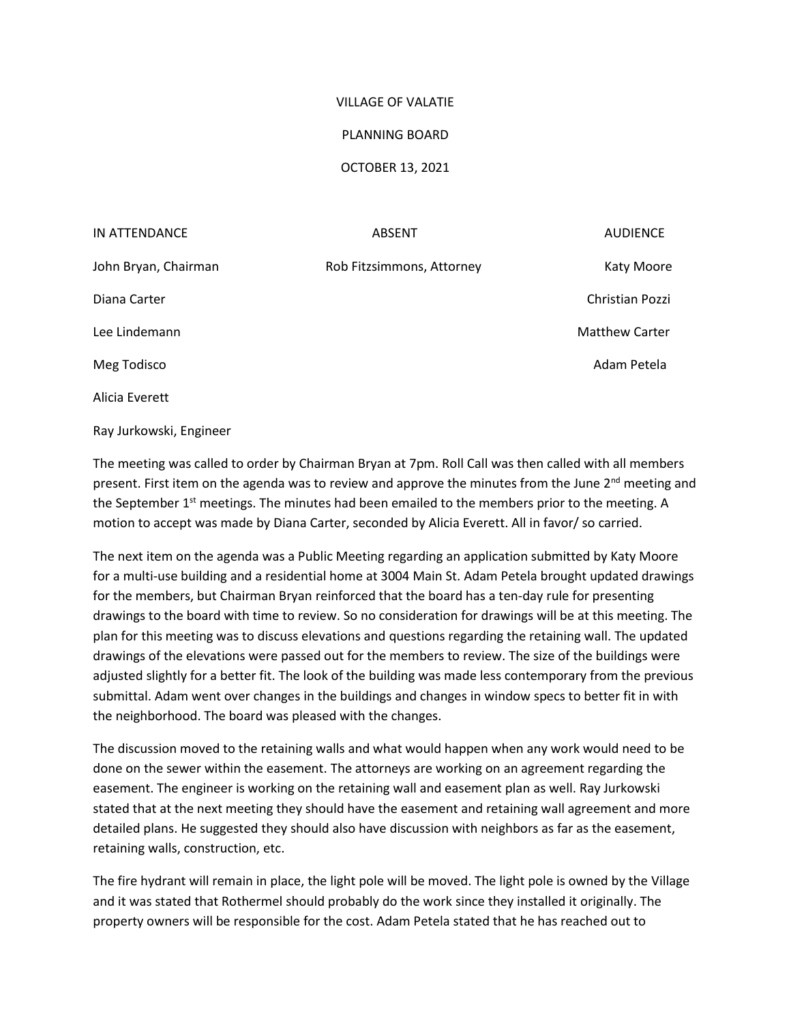## VILLAGE OF VALATIE

## PLANNING BOARD

## OCTOBER 13, 2021

| IN ATTENDANCE        | <b>ABSENT</b>             | <b>AUDIENCE</b>       |
|----------------------|---------------------------|-----------------------|
| John Bryan, Chairman | Rob Fitzsimmons, Attorney | Katy Moore            |
| Diana Carter         |                           | Christian Pozzi       |
| Lee Lindemann        |                           | <b>Matthew Carter</b> |
| Meg Todisco          |                           | Adam Petela           |
| Alicia Everett       |                           |                       |

Ray Jurkowski, Engineer

The meeting was called to order by Chairman Bryan at 7pm. Roll Call was then called with all members present. First item on the agenda was to review and approve the minutes from the June 2<sup>nd</sup> meeting and the September  $1<sup>st</sup>$  meetings. The minutes had been emailed to the members prior to the meeting. A motion to accept was made by Diana Carter, seconded by Alicia Everett. All in favor/ so carried.

The next item on the agenda was a Public Meeting regarding an application submitted by Katy Moore for a multi-use building and a residential home at 3004 Main St. Adam Petela brought updated drawings for the members, but Chairman Bryan reinforced that the board has a ten-day rule for presenting drawings to the board with time to review. So no consideration for drawings will be at this meeting. The plan for this meeting was to discuss elevations and questions regarding the retaining wall. The updated drawings of the elevations were passed out for the members to review. The size of the buildings were adjusted slightly for a better fit. The look of the building was made less contemporary from the previous submittal. Adam went over changes in the buildings and changes in window specs to better fit in with the neighborhood. The board was pleased with the changes.

The discussion moved to the retaining walls and what would happen when any work would need to be done on the sewer within the easement. The attorneys are working on an agreement regarding the easement. The engineer is working on the retaining wall and easement plan as well. Ray Jurkowski stated that at the next meeting they should have the easement and retaining wall agreement and more detailed plans. He suggested they should also have discussion with neighbors as far as the easement, retaining walls, construction, etc.

The fire hydrant will remain in place, the light pole will be moved. The light pole is owned by the Village and it was stated that Rothermel should probably do the work since they installed it originally. The property owners will be responsible for the cost. Adam Petela stated that he has reached out to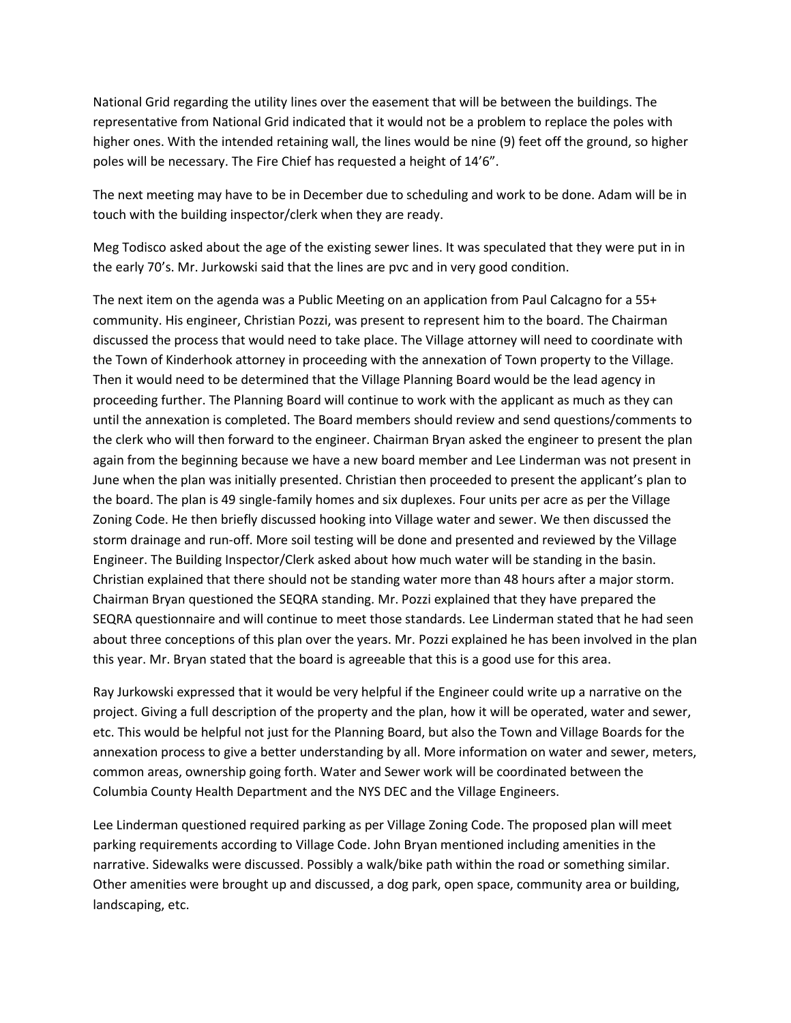National Grid regarding the utility lines over the easement that will be between the buildings. The representative from National Grid indicated that it would not be a problem to replace the poles with higher ones. With the intended retaining wall, the lines would be nine (9) feet off the ground, so higher poles will be necessary. The Fire Chief has requested a height of 14'6".

The next meeting may have to be in December due to scheduling and work to be done. Adam will be in touch with the building inspector/clerk when they are ready.

Meg Todisco asked about the age of the existing sewer lines. It was speculated that they were put in in the early 70's. Mr. Jurkowski said that the lines are pvc and in very good condition.

The next item on the agenda was a Public Meeting on an application from Paul Calcagno for a 55+ community. His engineer, Christian Pozzi, was present to represent him to the board. The Chairman discussed the process that would need to take place. The Village attorney will need to coordinate with the Town of Kinderhook attorney in proceeding with the annexation of Town property to the Village. Then it would need to be determined that the Village Planning Board would be the lead agency in proceeding further. The Planning Board will continue to work with the applicant as much as they can until the annexation is completed. The Board members should review and send questions/comments to the clerk who will then forward to the engineer. Chairman Bryan asked the engineer to present the plan again from the beginning because we have a new board member and Lee Linderman was not present in June when the plan was initially presented. Christian then proceeded to present the applicant's plan to the board. The plan is 49 single-family homes and six duplexes. Four units per acre as per the Village Zoning Code. He then briefly discussed hooking into Village water and sewer. We then discussed the storm drainage and run-off. More soil testing will be done and presented and reviewed by the Village Engineer. The Building Inspector/Clerk asked about how much water will be standing in the basin. Christian explained that there should not be standing water more than 48 hours after a major storm. Chairman Bryan questioned the SEQRA standing. Mr. Pozzi explained that they have prepared the SEQRA questionnaire and will continue to meet those standards. Lee Linderman stated that he had seen about three conceptions of this plan over the years. Mr. Pozzi explained he has been involved in the plan this year. Mr. Bryan stated that the board is agreeable that this is a good use for this area.

Ray Jurkowski expressed that it would be very helpful if the Engineer could write up a narrative on the project. Giving a full description of the property and the plan, how it will be operated, water and sewer, etc. This would be helpful not just for the Planning Board, but also the Town and Village Boards for the annexation process to give a better understanding by all. More information on water and sewer, meters, common areas, ownership going forth. Water and Sewer work will be coordinated between the Columbia County Health Department and the NYS DEC and the Village Engineers.

Lee Linderman questioned required parking as per Village Zoning Code. The proposed plan will meet parking requirements according to Village Code. John Bryan mentioned including amenities in the narrative. Sidewalks were discussed. Possibly a walk/bike path within the road or something similar. Other amenities were brought up and discussed, a dog park, open space, community area or building, landscaping, etc.